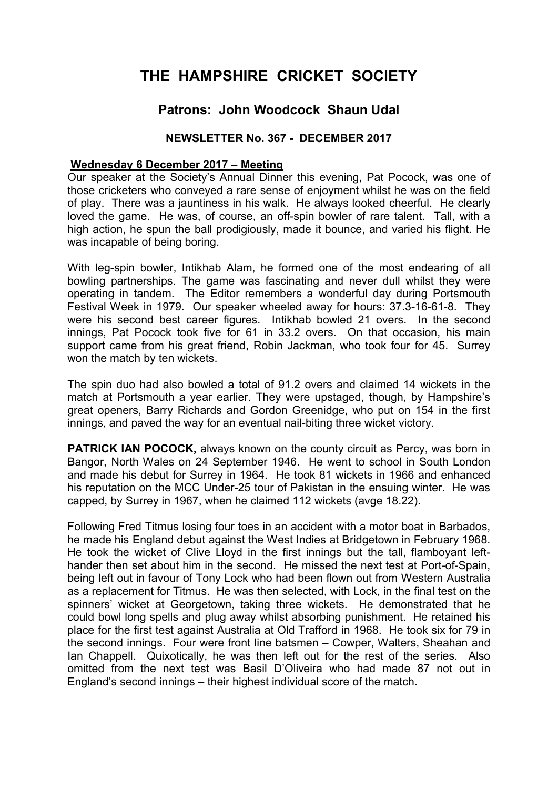## **THE HAMPSHIRE CRICKET SOCIETY**

## **Patrons: John Woodcock Shaun Udal**

## **NEWSLETTER No. 367 - DECEMBER 2017**

## **Wednesday 6 December 2017 – Meeting**

Our speaker at the Society's Annual Dinner this evening, Pat Pocock, was one of those cricketers who conveyed a rare sense of enjoyment whilst he was on the field of play. There was a jauntiness in his walk. He always looked cheerful. He clearly loved the game. He was, of course, an off-spin bowler of rare talent. Tall, with a high action, he spun the ball prodigiously, made it bounce, and varied his flight. He was incapable of being boring.

With leg-spin bowler, Intikhab Alam, he formed one of the most endearing of all bowling partnerships. The game was fascinating and never dull whilst they were operating in tandem. The Editor remembers a wonderful day during Portsmouth Festival Week in 1979. Our speaker wheeled away for hours: 37.3-16-61-8. They were his second best career figures. Intikhab bowled 21 overs. In the second innings, Pat Pocock took five for 61 in 33.2 overs. On that occasion, his main support came from his great friend, Robin Jackman, who took four for 45. Surrey won the match by ten wickets.

The spin duo had also bowled a total of 91.2 overs and claimed 14 wickets in the match at Portsmouth a year earlier. They were upstaged, though, by Hampshire's great openers, Barry Richards and Gordon Greenidge, who put on 154 in the first innings, and paved the way for an eventual nail-biting three wicket victory.

**PATRICK IAN POCOCK, always known on the county circuit as Percy, was born in** Bangor, North Wales on 24 September 1946. He went to school in South London and made his debut for Surrey in 1964. He took 81 wickets in 1966 and enhanced his reputation on the MCC Under-25 tour of Pakistan in the ensuing winter. He was capped, by Surrey in 1967, when he claimed 112 wickets (avge 18.22).

Following Fred Titmus losing four toes in an accident with a motor boat in Barbados, he made his England debut against the West Indies at Bridgetown in February 1968. He took the wicket of Clive Lloyd in the first innings but the tall, flamboyant lefthander then set about him in the second. He missed the next test at Port-of-Spain, being left out in favour of Tony Lock who had been flown out from Western Australia as a replacement for Titmus. He was then selected, with Lock, in the final test on the spinners' wicket at Georgetown, taking three wickets. He demonstrated that he could bowl long spells and plug away whilst absorbing punishment. He retained his place for the first test against Australia at Old Trafford in 1968. He took six for 79 in the second innings. Four were front line batsmen – Cowper, Walters, Sheahan and Ian Chappell. Quixotically, he was then left out for the rest of the series. Also omitted from the next test was Basil D'Oliveira who had made 87 not out in England's second innings – their highest individual score of the match.